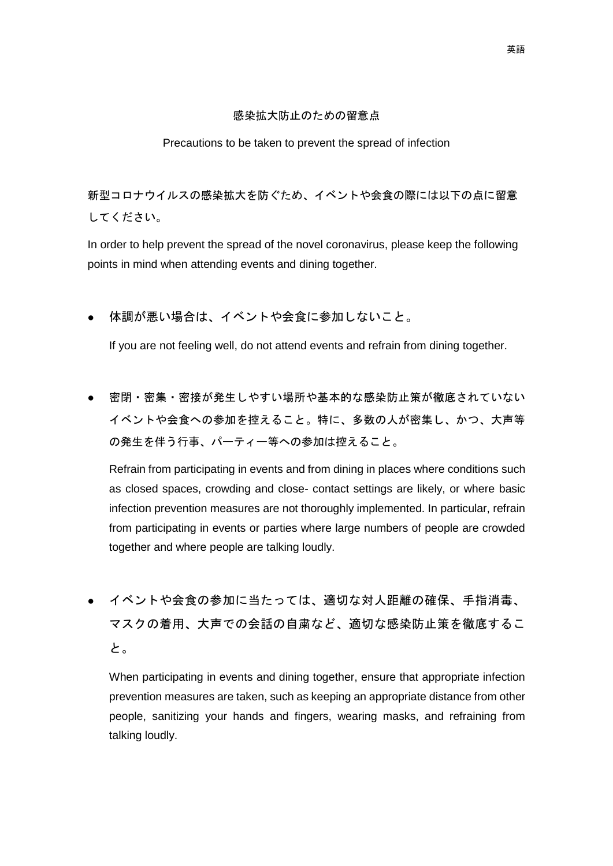### 感染拡大防止のための留意点

#### Precautions to be taken to prevent the spread of infection

新型コロナウイルスの感染拡大を防ぐため、イベントや会食の際には以下の点に留意 してください。

In order to help prevent the spread of the novel coronavirus, please keep the following points in mind when attending events and dining together.

# 体調が悪い場合は、イベントや会食に参加しないこと。

If you are not feeling well, do not attend events and refrain from dining together.

密閉・密集・密接が発生しやすい場所や基本的な感染防止策が徹底されていない イベントや会食への参加を控えること。特に、多数の人が密集し、かつ、大声等 の発生を伴う行事、パーティー等への参加は控えること。

Refrain from participating in events and from dining in places where conditions such as closed spaces, crowding and close- contact settings are likely, or where basic infection prevention measures are not thoroughly implemented. In particular, refrain from participating in events or parties where large numbers of people are crowded together and where people are talking loudly.

イベントや会食の参加に当たっては、適切な対人距離の確保、手指消毒、 マスクの着用、大声での会話の自粛など、適切な感染防止策を徹底するこ と。

When participating in events and dining together, ensure that appropriate infection prevention measures are taken, such as keeping an appropriate distance from other people, sanitizing your hands and fingers, wearing masks, and refraining from talking loudly.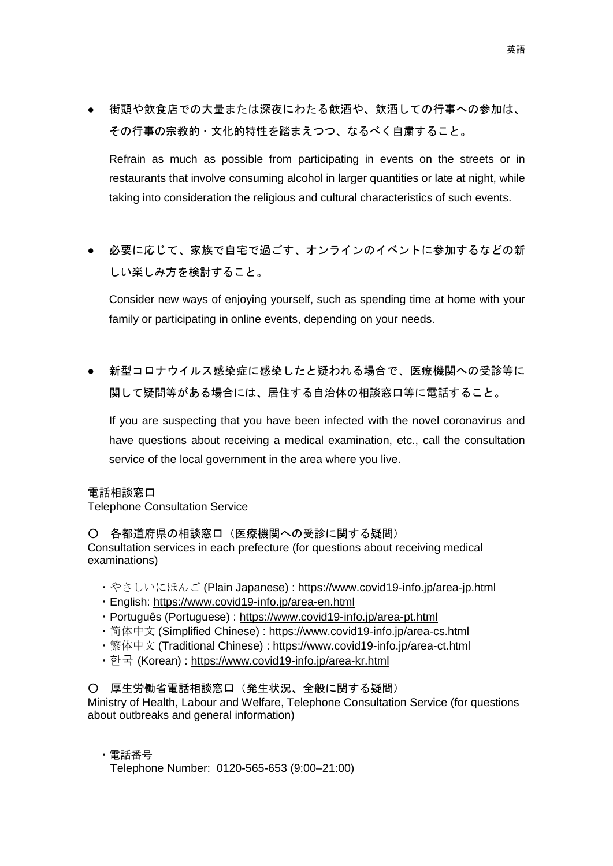● 街頭や飲食店での大量または深夜にわたる飲酒や、飲酒しての行事への参加は、 その行事の宗教的・文化的特性を踏まえつつ、なるべく自粛すること。

Refrain as much as possible from participating in events on the streets or in restaurants that involve consuming alcohol in larger quantities or late at night, while taking into consideration the religious and cultural characteristics of such events.

● 必要に応じて、家族で自宅で過ごす、オンラインのイベントに参加するなどの新 しい楽しみ方を検討すること。

Consider new ways of enjoying yourself, such as spending time at home with your family or participating in online events, depending on your needs.

● 新型コロナウイルス感染症に感染したと疑われる場合で、医療機関への受診等に 関して疑問等がある場合には、居住する自治体の相談窓口等に電話すること。

If you are suspecting that you have been infected with the novel coronavirus and have questions about receiving a medical examination, etc., call the consultation service of the local government in the area where you live.

### 電話相談窓口

Telephone Consultation Service

○ 各都道府県の相談窓口(医療機関への受診に関する疑問) Consultation services in each prefecture (for questions about receiving medical examinations)

- ・やさしいにほんご (Plain Japanese) : https://www.covid19-info.jp/area-jp.html
- ・English:<https://www.covid19-info.jp/area-en.html>
- ・Português (Portuguese) :<https://www.covid19-info.jp/area-pt.html>
- 简体中文 (Simplified Chinese) : <https://www.covid19-info.jp/area-cs.html>
- ・繁体中文 (Traditional Chinese) : https://www.covid19-info.jp/area-ct.html
- ・한국 (Korean) :<https://www.covid19-info.jp/area-kr.html>

# ○ 厚生労働省電話相談窓口(発生状況、全般に関する疑問)

Ministry of Health, Labour and Welfare, Telephone Consultation Service (for questions about outbreaks and general information)

# ・電話番号

Telephone Number: 0120-565-653 (9:00–21:00)